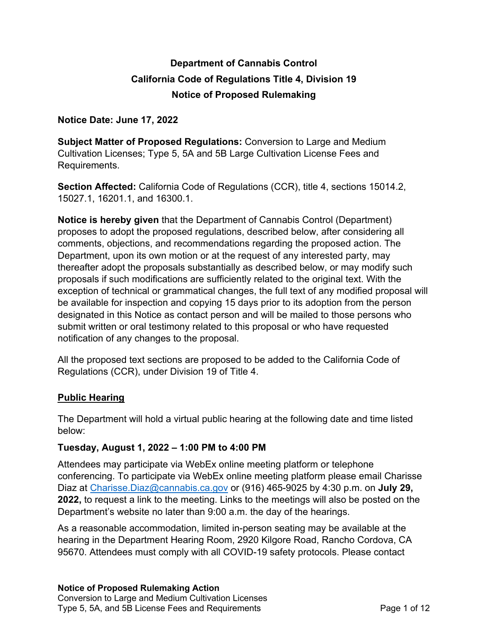# **Department of Cannabis Control California Code of Regulations Title 4, Division 19 Notice of Proposed Rulemaking**

#### **Notice Date: June 17, 2022**

 **Subject Matter of Proposed Regulations:** Conversion to Large and Medium Cultivation Licenses; Type 5, 5A and 5B Large Cultivation License Fees and Requirements.

 **Section Affected:** California Code of Regulations (CCR), title 4, sections 15014.2, 15027.1, 16201.1, and 16300.1.

 **Notice is hereby given** that the Department of Cannabis Control (Department) proposes to adopt the proposed regulations, described below, after considering all comments, objections, and recommendations regarding the proposed action. The Department, upon its own motion or at the request of any interested party, may thereafter adopt the proposals substantially as described below, or may modify such proposals if such modifications are sufficiently related to the original text. With the exception of technical or grammatical changes, the full text of any modified proposal will be available for inspection and copying 15 days prior to its adoption from the person designated in this Notice as contact person and will be mailed to those persons who submit written or oral testimony related to this proposal or who have requested notification of any changes to the proposal.

 All the proposed text sections are proposed to be added to the California Code of Regulations (CCR), under Division 19 of Title 4.

## **Public Hearing**

 The Department will hold a virtual public hearing at the following date and time listed below:

## **Tuesday, August 1, 2022 – 1:00 PM to 4:00 PM**

 Attendees may participate via WebEx online meeting platform or telephone conferencing. To participate via WebEx online meeting platform please email Charisse Diaz at [Charisse.Diaz@cannabis.ca.gov](mailto:Charisse.Diaz@cannabis.ca.gov) or (916) 465-9025 by 4:30 p.m. on **July 29, 2022,** to request a link to the meeting. Links to the meetings will also be posted on the Department's website no later than 9:00 a.m. the day of the hearings.

 As a reasonable accommodation, limited in-person seating may be available at the hearing in the Department Hearing Room, 2920 Kilgore Road, Rancho Cordova, CA 95670. Attendees must comply with all COVID-19 safety protocols. Please contact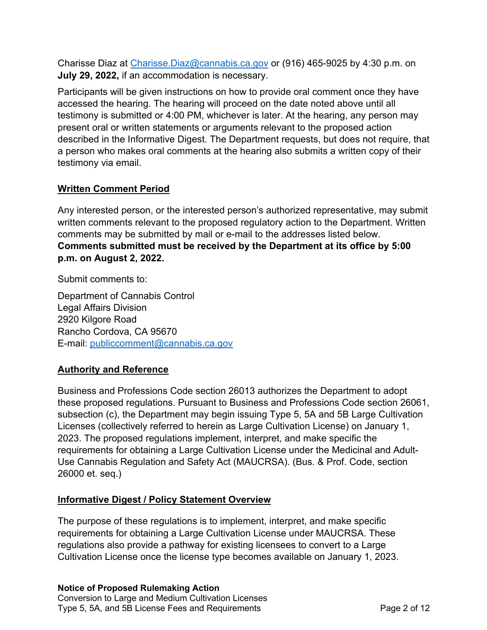Charisse Diaz at [Charisse.Diaz@cannabis.ca.gov](mailto:Charisse.Diaz@cannabis.ca.gov) or (916) 465-9025 by 4:30 p.m. on **July 29, 2022,** if an accommodation is necessary.

 Participants will be given instructions on how to provide oral comment once they have accessed the hearing. The hearing will proceed on the date noted above until all testimony is submitted or 4:00 PM, whichever is later. At the hearing, any person may present oral or written statements or arguments relevant to the proposed action described in the Informative Digest. The Department requests, but does not require, that a person who makes oral comments at the hearing also submits a written copy of their testimony via email.

## **Written Comment Period**

 Any interested person, or the interested person's authorized representative, may submit written comments relevant to the proposed regulatory action to the Department. Written comments may be submitted by mail or e-mail to the addresses listed below.  **Comments submitted must be received by the Department at its office by 5:00 p.m. on August 2, 2022.** 

Submit comments to:

 Department of Cannabis Control 2920 Kilgore Road Rancho Cordova, CA 95670 E-mail: publiccomment@cannabis.ca.gov Legal Affairs Division

# **Authority and Reference**

 Business and Professions Code section 26013 authorizes the Department to adopt these proposed regulations. Pursuant to Business and Professions Code section 26061, subsection (c), the Department may begin issuing Type 5, 5A and 5B Large Cultivation Licenses (collectively referred to herein as Large Cultivation License) on January 1, 2023. The proposed regulations implement, interpret, and make specific the requirements for obtaining a Large Cultivation License under the Medicinal and Adult- Use Cannabis Regulation and Safety Act (MAUCRSA). (Bus. & Prof. Code, section 26000 et. seq.)

## **Informative Digest / Policy Statement Overview**

 The purpose of these regulations is to implement, interpret, and make specific requirements for obtaining a Large Cultivation License under MAUCRSA. These regulations also provide a pathway for existing licensees to convert to a Large Cultivation License once the license type becomes available on January 1, 2023.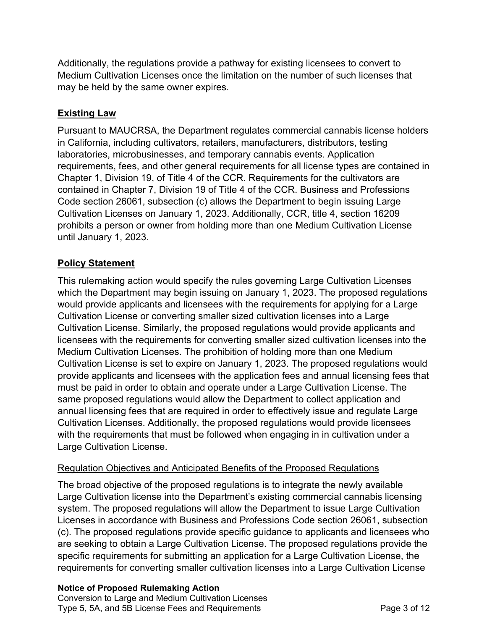Additionally, the regulations provide a pathway for existing licensees to convert to Medium Cultivation Licenses once the limitation on the number of such licenses that may be held by the same owner expires.

# **Existing Law**

 Pursuant to MAUCRSA, the Department regulates commercial cannabis license holders in California, including cultivators, retailers, manufacturers, distributors, testing laboratories, microbusinesses, and temporary cannabis events. Application requirements, fees, and other general requirements for all license types are contained in Chapter 1, Division 19, of Title 4 of the CCR. Requirements for the cultivators are contained in Chapter 7, Division 19 of Title 4 of the CCR. Business and Professions Code section 26061, subsection (c) allows the Department to begin issuing Large Cultivation Licenses on January 1, 2023. Additionally, CCR, title 4, section 16209 prohibits a person or owner from holding more than one Medium Cultivation License until January 1, 2023.

# **Policy Statement**

 This rulemaking action would specify the rules governing Large Cultivation Licenses which the Department may begin issuing on January 1, 2023. The proposed regulations would provide applicants and licensees with the requirements for applying for a Large Cultivation License or converting smaller sized cultivation licenses into a Large Cultivation License. Similarly, the proposed regulations would provide applicants and licensees with the requirements for converting smaller sized cultivation licenses into the Medium Cultivation Licenses. The prohibition of holding more than one Medium Cultivation License is set to expire on January 1, 2023. The proposed regulations would provide applicants and licensees with the application fees and annual licensing fees that must be paid in order to obtain and operate under a Large Cultivation License. The same proposed regulations would allow the Department to collect application and annual licensing fees that are required in order to effectively issue and regulate Large Cultivation Licenses. Additionally, the proposed regulations would provide licensees with the requirements that must be followed when engaging in in cultivation under a Large Cultivation License.

## Regulation Objectives and Anticipated Benefits of the Proposed Regulations

 The broad objective of the proposed regulations is to integrate the newly available Large Cultivation license into the Department's existing commercial cannabis licensing system. The proposed regulations will allow the Department to issue Large Cultivation Licenses in accordance with Business and Professions Code section 26061, subsection (c). The proposed regulations provide specific guidance to applicants and licensees who are seeking to obtain a Large Cultivation License. The proposed regulations provide the specific requirements for submitting an application for a Large Cultivation License, the requirements for converting smaller cultivation licenses into a Large Cultivation License

#### **Notice of Proposed Rulemaking Action**

 Conversion to Large and Medium Cultivation Licenses Type 5, 5A, and 5B License Fees and Requirements **Page 3 of 12**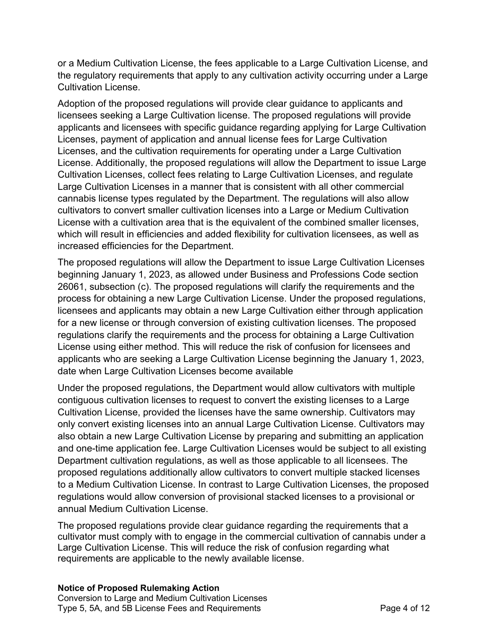or a Medium Cultivation License, the fees applicable to a Large Cultivation License, and the regulatory requirements that apply to any cultivation activity occurring under a Large Cultivation License.

 Adoption of the proposed regulations will provide clear guidance to applicants and licensees seeking a Large Cultivation license. The proposed regulations will provide applicants and licensees with specific guidance regarding applying for Large Cultivation Licenses, payment of application and annual license fees for Large Cultivation Licenses, and the cultivation requirements for operating under a Large Cultivation License. Additionally, the proposed regulations will allow the Department to issue Large Cultivation Licenses, collect fees relating to Large Cultivation Licenses, and regulate Large Cultivation Licenses in a manner that is consistent with all other commercial cannabis license types regulated by the Department. The regulations will also allow cultivators to convert smaller cultivation licenses into a Large or Medium Cultivation License with a cultivation area that is the equivalent of the combined smaller licenses, which will result in efficiencies and added flexibility for cultivation licensees, as well as increased efficiencies for the Department.

 The proposed regulations will allow the Department to issue Large Cultivation Licenses beginning January 1, 2023, as allowed under Business and Professions Code section 26061, subsection (c). The proposed regulations will clarify the requirements and the process for obtaining a new Large Cultivation License. Under the proposed regulations, licensees and applicants may obtain a new Large Cultivation either through application for a new license or through conversion of existing cultivation licenses. The proposed regulations clarify the requirements and the process for obtaining a Large Cultivation License using either method. This will reduce the risk of confusion for licensees and applicants who are seeking a Large Cultivation License beginning the January 1, 2023, date when Large Cultivation Licenses become available

 Under the proposed regulations, the Department would allow cultivators with multiple contiguous cultivation licenses to request to convert the existing licenses to a Large Cultivation License, provided the licenses have the same ownership. Cultivators may only convert existing licenses into an annual Large Cultivation License. Cultivators may also obtain a new Large Cultivation License by preparing and submitting an application and one-time application fee. Large Cultivation Licenses would be subject to all existing Department cultivation regulations, as well as those applicable to all licensees. The proposed regulations additionally allow cultivators to convert multiple stacked licenses to a Medium Cultivation License. In contrast to Large Cultivation Licenses, the proposed regulations would allow conversion of provisional stacked licenses to a provisional or annual Medium Cultivation License.

 The proposed regulations provide clear guidance regarding the requirements that a cultivator must comply with to engage in the commercial cultivation of cannabis under a Large Cultivation License. This will reduce the risk of confusion regarding what requirements are applicable to the newly available license.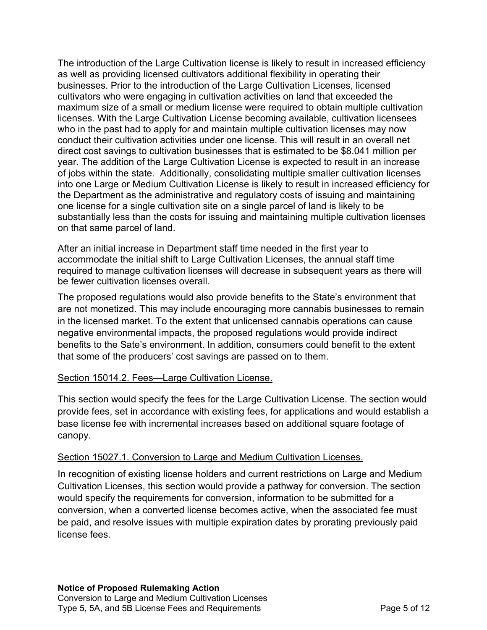The introduction of the Large Cultivation license is likely to result in increased efficiency as well as providing licensed cultivators additional flexibility in operating their businesses. Prior to the introduction of the Large Cultivation Licenses, licensed cultivators who were engaging in cultivation activities on land that exceeded the maximum size of a small or medium license were required to obtain multiple cultivation licenses. With the Large Cultivation License becoming available, cultivation licensees who in the past had to apply for and maintain multiple cultivation licenses may now conduct their cultivation activities under one license. This will result in an overall net direct cost savings to cultivation businesses that is estimated to be \$8.041 million per year. The addition of the Large Cultivation License is expected to result in an increase of jobs within the state. Additionally, consolidating multiple smaller cultivation licenses into one Large or Medium Cultivation License is likely to result in increased efficiency for the Department as the administrative and regulatory costs of issuing and maintaining one license for a single cultivation site on a single parcel of land is likely to be substantially less than the costs for issuing and maintaining multiple cultivation licenses on that same parcel of land.

 After an initial increase in Department staff time needed in the first year to accommodate the initial shift to Large Cultivation Licenses, the annual staff time required to manage cultivation licenses will decrease in subsequent years as there will be fewer cultivation licenses overall.

 The proposed regulations would also provide benefits to the State's environment that are not monetized. This may include encouraging more cannabis businesses to remain in the licensed market. To the extent that unlicensed cannabis operations can cause negative environmental impacts, the proposed regulations would provide indirect benefits to the Sate's environment. In addition, consumers could benefit to the extent that some of the producers' cost savings are passed on to them.

#### Section 15014.2. Fees-Large Cultivation License.

 This section would specify the fees for the Large Cultivation License. The section would provide fees, set in accordance with existing fees, for applications and would establish a base license fee with incremental increases based on additional square footage of canopy.

# canopy.<br><u>Section 15027.1. Conversion to Large and Medium Cultivation Licenses.</u>

 In recognition of existing license holders and current restrictions on Large and Medium Cultivation Licenses, this section would provide a pathway for conversion. The section would specify the requirements for conversion, information to be submitted for a conversion, when a converted license becomes active, when the associated fee must be paid, and resolve issues with multiple expiration dates by prorating previously paid license fees.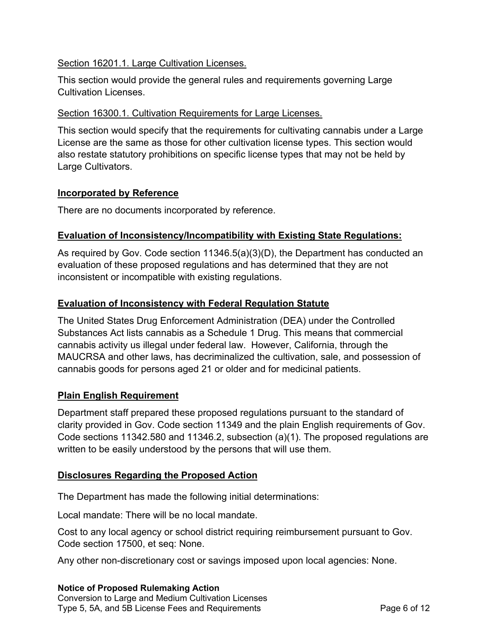#### Section 16201.1. Large Cultivation Licenses.

This section would provide the general rules and requirements governing Large Cultivation Licenses.

#### Section 16300.1. Cultivation Requirements for Large Licenses.

This section would specify that the requirements for cultivating cannabis under a Large License are the same as those for other cultivation license types. This section would also restate statutory prohibitions on specific license types that may not be held by Large Cultivators.

#### **Incorporated by Reference**

There are no documents incorporated by reference.

## **Evaluation of Inconsistency/Incompatibility with Existing State Regulations:**

 As required by Gov. Code section 11346.5(a)(3)(D), the Department has conducted an evaluation of these proposed regulations and has determined that they are not inconsistent or incompatible with existing regulations.

## **Evaluation of Inconsistency with Federal Regulation Statute**

 The United States Drug Enforcement Administration (DEA) under the Controlled Substances Act lists cannabis as a Schedule 1 Drug. This means that commercial cannabis activity us illegal under federal law. However, California, through the MAUCRSA and other laws, has decriminalized the cultivation, sale, and possession of cannabis goods for persons aged 21 or older and for medicinal patients.

## **Plain English Requirement**

 Department staff prepared these proposed regulations pursuant to the standard of clarity provided in Gov. Code section 11349 and the plain English requirements of Gov. Code sections 11342.580 and 11346.2, subsection (a)(1). The proposed regulations are written to be easily understood by the persons that will use them.

## **Disclosures Regarding the Proposed Action**

The Department has made the following initial determinations:

Local mandate: There will be no local mandate.

 Cost to any local agency or school district requiring reimbursement pursuant to Gov. Code section 17500, et seq: None.

Any other non-discretionary cost or savings imposed upon local agencies: None.

#### **Notice of Proposed Rulemaking Action**

 Conversion to Large and Medium Cultivation Licenses Type 5, 5A, and 5B License Fees and Requirements **Page 6 of 12**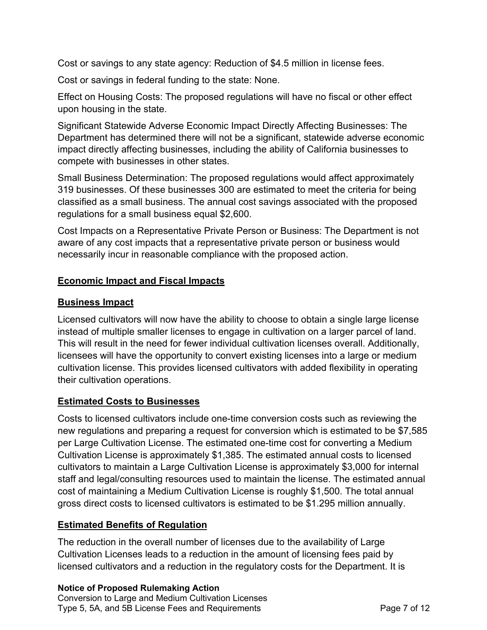Cost or savings to any state agency: Reduction of \$4.5 million in license fees.

Cost or savings in federal funding to the state: None.

 Effect on Housing Costs: The proposed regulations will have no fiscal or other effect upon housing in the state.

 Significant Statewide Adverse Economic Impact Directly Affecting Businesses: The Department has determined there will not be a significant, statewide adverse economic impact directly affecting businesses, including the ability of California businesses to compete with businesses in other states.

 Small Business Determination: The proposed regulations would affect approximately 319 businesses. Of these businesses 300 are estimated to meet the criteria for being classified as a small business. The annual cost savings associated with the proposed regulations for a small business equal \$2,600.

 Cost Impacts on a Representative Private Person or Business: The Department is not aware of any cost impacts that a representative private person or business would necessarily incur in reasonable compliance with the proposed action.

## **Economic Impact and Fiscal Impacts**

#### **Business Impact**

 Licensed cultivators will now have the ability to choose to obtain a single large license instead of multiple smaller licenses to engage in cultivation on a larger parcel of land. This will result in the need for fewer individual cultivation licenses overall. Additionally, licensees will have the opportunity to convert existing licenses into a large or medium cultivation license. This provides licensed cultivators with added flexibility in operating their cultivation operations.

#### **Estimated Costs to Businesses**

 Costs to licensed cultivators include one-time conversion costs such as reviewing the new regulations and preparing a request for conversion which is estimated to be \$7,585 per Large Cultivation License. The estimated one-time cost for converting a Medium Cultivation License is approximately \$1,385. The estimated annual costs to licensed cultivators to maintain a Large Cultivation License is approximately \$3,000 for internal staff and legal/consulting resources used to maintain the license. The estimated annual cost of maintaining a Medium Cultivation License is roughly \$1,500. The total annual gross direct costs to licensed cultivators is estimated to be \$1.295 million annually.

## **Estimated Benefits of Regulation**

 The reduction in the overall number of licenses due to the availability of Large Cultivation Licenses leads to a reduction in the amount of licensing fees paid by licensed cultivators and a reduction in the regulatory costs for the Department. It is

 **Notice of Proposed Rulemaking Action** Conversion to Large and Medium Cultivation Licenses Type 5, 5A, and 5B License Fees and Requirements **Page 7 of 12**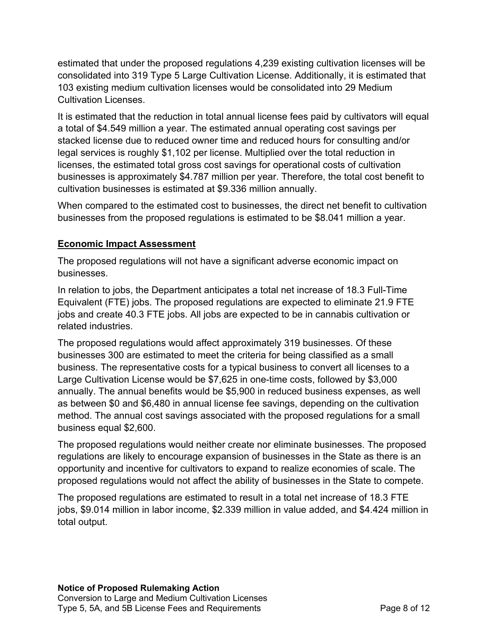estimated that under the proposed regulations 4,239 existing cultivation licenses will be consolidated into 319 Type 5 Large Cultivation License. Additionally, it is estimated that 103 existing medium cultivation licenses would be consolidated into 29 Medium Cultivation Licenses.

 It is estimated that the reduction in total annual license fees paid by cultivators will equal a total of \$4.549 million a year. The estimated annual operating cost savings per stacked license due to reduced owner time and reduced hours for consulting and/or legal services is roughly \$1,102 per license. Multiplied over the total reduction in licenses, the estimated total gross cost savings for operational costs of cultivation businesses is approximately \$4.787 million per year. Therefore, the total cost benefit to cultivation businesses is estimated at \$9.336 million annually.

 When compared to the estimated cost to businesses, the direct net benefit to cultivation businesses from the proposed regulations is estimated to be \$8.041 million a year.

## **Economic Impact Assessment**

 The proposed regulations will not have a significant adverse economic impact on businesses.

 In relation to jobs, the Department anticipates a total net increase of 18.3 Full-Time Equivalent (FTE) jobs. The proposed regulations are expected to eliminate 21.9 FTE jobs and create 40.3 FTE jobs. All jobs are expected to be in cannabis cultivation or related industries.

 The proposed regulations would affect approximately 319 businesses. Of these businesses 300 are estimated to meet the criteria for being classified as a small business. The representative costs for a typical business to convert all licenses to a Large Cultivation License would be \$7,625 in one-time costs, followed by \$3,000 annually. The annual benefits would be \$5,900 in reduced business expenses, as well as between \$0 and \$6,480 in annual license fee savings, depending on the cultivation method. The annual cost savings associated with the proposed regulations for a small business equal \$2,600.

 The proposed regulations would neither create nor eliminate businesses. The proposed regulations are likely to encourage expansion of businesses in the State as there is an opportunity and incentive for cultivators to expand to realize economies of scale. The proposed regulations would not affect the ability of businesses in the State to compete.

 The proposed regulations are estimated to result in a total net increase of 18.3 FTE jobs, \$9.014 million in labor income, \$2.339 million in value added, and \$4.424 million in total output.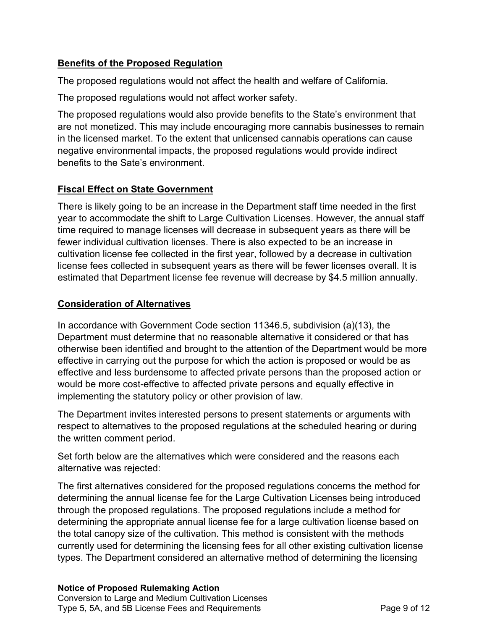# **Benefits of the Proposed Regulation**

The proposed regulations would not affect the health and welfare of California.

The proposed regulations would not affect worker safety.

 The proposed regulations would also provide benefits to the State's environment that are not monetized. This may include encouraging more cannabis businesses to remain in the licensed market. To the extent that unlicensed cannabis operations can cause negative environmental impacts, the proposed regulations would provide indirect benefits to the Sate's environment.

# **Fiscal Effect on State Government**

 There is likely going to be an increase in the Department staff time needed in the first year to accommodate the shift to Large Cultivation Licenses. However, the annual staff time required to manage licenses will decrease in subsequent years as there will be fewer individual cultivation licenses. There is also expected to be an increase in cultivation license fee collected in the first year, followed by a decrease in cultivation license fees collected in subsequent years as there will be fewer licenses overall. It is estimated that Department license fee revenue will decrease by \$4.5 million annually.

# **Consideration of Alternatives**

 In accordance with Government Code section 11346.5, subdivision (a)(13), the Department must determine that no reasonable alternative it considered or that has otherwise been identified and brought to the attention of the Department would be more effective in carrying out the purpose for which the action is proposed or would be as effective and less burdensome to affected private persons than the proposed action or would be more cost-effective to affected private persons and equally effective in implementing the statutory policy or other provision of law.

 The Department invites interested persons to present statements or arguments with respect to alternatives to the proposed regulations at the scheduled hearing or during the written comment period.

 Set forth below are the alternatives which were considered and the reasons each alternative was rejected:

 The first alternatives considered for the proposed regulations concerns the method for determining the annual license fee for the Large Cultivation Licenses being introduced through the proposed regulations. The proposed regulations include a method for determining the appropriate annual license fee for a large cultivation license based on the total canopy size of the cultivation. This method is consistent with the methods currently used for determining the licensing fees for all other existing cultivation license types. The Department considered an alternative method of determining the licensing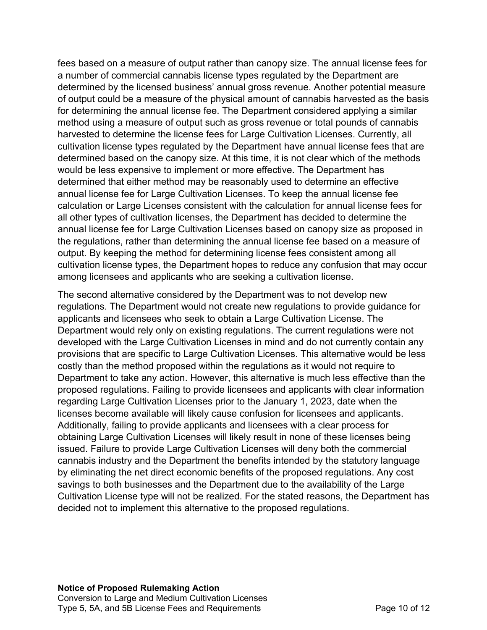fees based on a measure of output rather than canopy size. The annual license fees for a number of commercial cannabis license types regulated by the Department are determined by the licensed business' annual gross revenue. Another potential measure of output could be a measure of the physical amount of cannabis harvested as the basis for determining the annual license fee. The Department considered applying a similar method using a measure of output such as gross revenue or total pounds of cannabis harvested to determine the license fees for Large Cultivation Licenses. Currently, all cultivation license types regulated by the Department have annual license fees that are determined based on the canopy size. At this time, it is not clear which of the methods would be less expensive to implement or more effective. The Department has determined that either method may be reasonably used to determine an effective annual license fee for Large Cultivation Licenses. To keep the annual license fee calculation or Large Licenses consistent with the calculation for annual license fees for all other types of cultivation licenses, the Department has decided to determine the annual license fee for Large Cultivation Licenses based on canopy size as proposed in the regulations, rather than determining the annual license fee based on a measure of output. By keeping the method for determining license fees consistent among all cultivation license types, the Department hopes to reduce any confusion that may occur among licensees and applicants who are seeking a cultivation license.

 The second alternative considered by the Department was to not develop new regulations. The Department would not create new regulations to provide guidance for applicants and licensees who seek to obtain a Large Cultivation License. The Department would rely only on existing regulations. The current regulations were not developed with the Large Cultivation Licenses in mind and do not currently contain any provisions that are specific to Large Cultivation Licenses. This alternative would be less costly than the method proposed within the regulations as it would not require to Department to take any action. However, this alternative is much less effective than the proposed regulations. Failing to provide licensees and applicants with clear information regarding Large Cultivation Licenses prior to the January 1, 2023, date when the licenses become available will likely cause confusion for licensees and applicants. Additionally, failing to provide applicants and licensees with a clear process for obtaining Large Cultivation Licenses will likely result in none of these licenses being issued. Failure to provide Large Cultivation Licenses will deny both the commercial cannabis industry and the Department the benefits intended by the statutory language by eliminating the net direct economic benefits of the proposed regulations. Any cost savings to both businesses and the Department due to the availability of the Large Cultivation License type will not be realized. For the stated reasons, the Department has decided not to implement this alternative to the proposed regulations.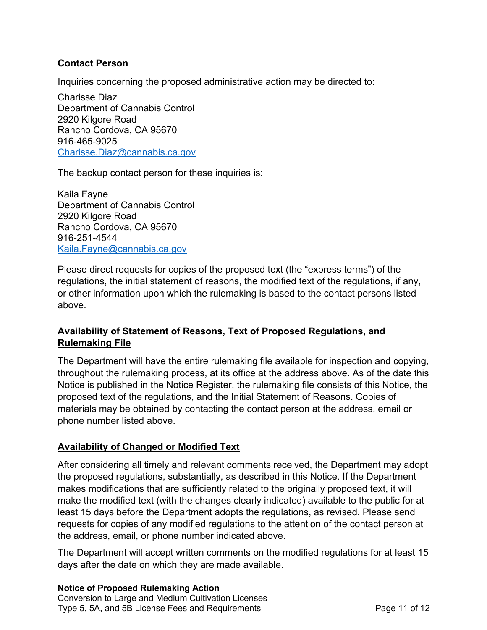#### **Contact Person**

Inquiries concerning the proposed administrative action may be directed to:

 Charisse Diaz Department of Cannabis Control 2920 Kilgore Road Rancho Cordova, CA 95670 Charisse.Diaz@cannabis.ca.gov 916-465-9025

<u>[Charisse.Diaz@cannabis.ca.gov](mailto:Charisse.Diaz@cannabis.ca.gov)</u><br>The backup contact person for these inquiries is:

 Kaila Fayne Department of Cannabis Control 2920 Kilgore Road Rancho Cordova, CA 95670 916-251-4544 [Kaila.Fayne@cannabis.ca.gov](mailto:Kaila.Fayne@cannabis.ca.gov) 

 Please direct requests for copies of the proposed text (the "express terms") of the regulations, the initial statement of reasons, the modified text of the regulations, if any, or other information upon which the rulemaking is based to the contact persons listed above.

# **Availability of Statement of Reasons, Text of Proposed Regulations, and Rulemaking File**

 The Department will have the entire rulemaking file available for inspection and copying, throughout the rulemaking process, at its office at the address above. As of the date this Notice is published in the Notice Register, the rulemaking file consists of this Notice, the proposed text of the regulations, and the Initial Statement of Reasons. Copies of materials may be obtained by contacting the contact person at the address, email or phone number listed above.

## **Availability of Changed or Modified Text**

 After considering all timely and relevant comments received, the Department may adopt the proposed regulations, substantially, as described in this Notice. If the Department makes modifications that are sufficiently related to the originally proposed text, it will make the modified text (with the changes clearly indicated) available to the public for at least 15 days before the Department adopts the regulations, as revised. Please send requests for copies of any modified regulations to the attention of the contact person at the address, email, or phone number indicated above.

 The Department will accept written comments on the modified regulations for at least 15 days after the date on which they are made available.

#### **Notice of Proposed Rulemaking Action**

 Conversion to Large and Medium Cultivation Licenses Type 5, 5A, and 5B License Fees and Requirements **Page 11 of 12**